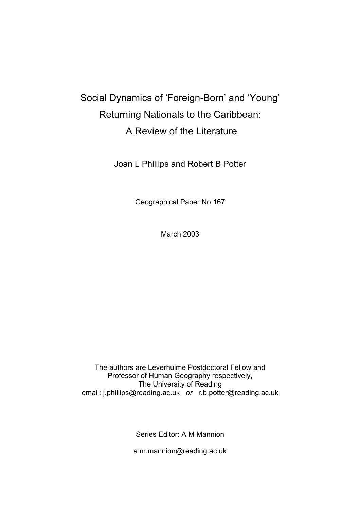# Social Dynamics of 'Foreign-Born' and 'Young' Returning Nationals to the Caribbean: A Review of the Literature

Joan L Phillips and Robert B Potter

Geographical Paper No 167

March 2003

The authors are Leverhulme Postdoctoral Fellow and Professor of Human Geography respectively, The University of Reading email: j.phillips@reading.ac.uk *or* r.b.potter@reading.ac.uk

Series Editor: A M Mannion

a.m.mannion@reading.ac.uk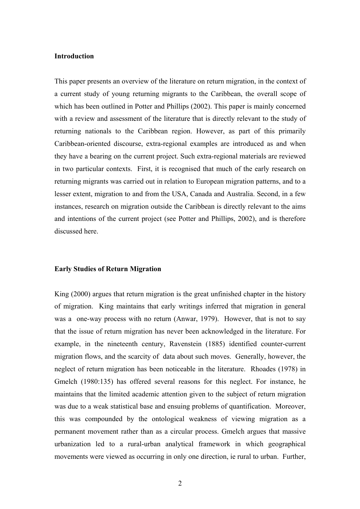# **Introduction**

This paper presents an overview of the literature on return migration, in the context of a current study of young returning migrants to the Caribbean, the overall scope of which has been outlined in Potter and Phillips (2002). This paper is mainly concerned with a review and assessment of the literature that is directly relevant to the study of returning nationals to the Caribbean region. However, as part of this primarily Caribbean-oriented discourse, extra-regional examples are introduced as and when they have a bearing on the current project. Such extra-regional materials are reviewed in two particular contexts. First, it is recognised that much of the early research on returning migrants was carried out in relation to European migration patterns, and to a lesser extent, migration to and from the USA, Canada and Australia. Second, in a few instances, research on migration outside the Caribbean is directly relevant to the aims and intentions of the current project (see Potter and Phillips, 2002), and is therefore discussed here.

# **Early Studies of Return Migration**

King (2000) argues that return migration is the great unfinished chapter in the history of migration. King maintains that early writings inferred that migration in general was a one-way process with no return (Anwar, 1979). However, that is not to say that the issue of return migration has never been acknowledged in the literature. For example, in the nineteenth century, Ravenstein (1885) identified counter-current migration flows, and the scarcity of data about such moves. Generally, however, the neglect of return migration has been noticeable in the literature. Rhoades (1978) in Gmelch (1980:135) has offered several reasons for this neglect. For instance, he maintains that the limited academic attention given to the subject of return migration was due to a weak statistical base and ensuing problems of quantification. Moreover, this was compounded by the ontological weakness of viewing migration as a permanent movement rather than as a circular process. Gmelch argues that massive urbanization led to a rural-urban analytical framework in which geographical movements were viewed as occurring in only one direction, ie rural to urban. Further,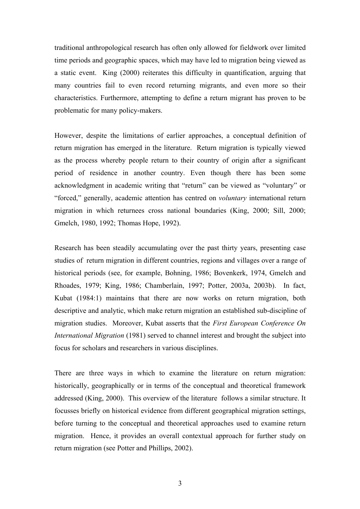traditional anthropological research has often only allowed for fieldwork over limited time periods and geographic spaces, which may have led to migration being viewed as a static event. King (2000) reiterates this difficulty in quantification, arguing that many countries fail to even record returning migrants, and even more so their characteristics. Furthermore, attempting to define a return migrant has proven to be problematic for many policy-makers.

However, despite the limitations of earlier approaches, a conceptual definition of return migration has emerged in the literature. Return migration is typically viewed as the process whereby people return to their country of origin after a significant period of residence in another country. Even though there has been some acknowledgment in academic writing that "return" can be viewed as "voluntary" or "forced," generally, academic attention has centred on *voluntary* international return migration in which returnees cross national boundaries (King, 2000; Sill, 2000; Gmelch, 1980, 1992; Thomas Hope, 1992).

Research has been steadily accumulating over the past thirty years, presenting case studies of return migration in different countries, regions and villages over a range of historical periods (see, for example, Bohning, 1986; Bovenkerk, 1974, Gmelch and Rhoades, 1979; King, 1986; Chamberlain, 1997; Potter, 2003a, 2003b). In fact, Kubat (1984:1) maintains that there are now works on return migration, both descriptive and analytic, which make return migration an established sub-discipline of migration studies. Moreover, Kubat asserts that the *First European Conference On International Migration* (1981) served to channel interest and brought the subject into focus for scholars and researchers in various disciplines.

There are three ways in which to examine the literature on return migration: historically, geographically or in terms of the conceptual and theoretical framework addressed (King, 2000). This overview of the literature follows a similar structure. It focusses briefly on historical evidence from different geographical migration settings, before turning to the conceptual and theoretical approaches used to examine return migration. Hence, it provides an overall contextual approach for further study on return migration (see Potter and Phillips, 2002).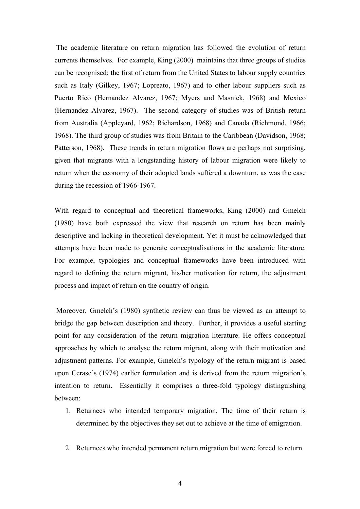The academic literature on return migration has followed the evolution of return currents themselves. For example, King (2000) maintains that three groups of studies can be recognised: the first of return from the United States to labour supply countries such as Italy (Gilkey, 1967; Lopreato, 1967) and to other labour suppliers such as Puerto Rico (Hernandez Alvarez, 1967; Myers and Masnick, 1968) and Mexico (Hernandez Alvarez, 1967). The second category of studies was of British return from Australia (Appleyard, 1962; Richardson, 1968) and Canada (Richmond, 1966; 1968). The third group of studies was from Britain to the Caribbean (Davidson, 1968; Patterson, 1968). These trends in return migration flows are perhaps not surprising, given that migrants with a longstanding history of labour migration were likely to return when the economy of their adopted lands suffered a downturn, as was the case during the recession of 1966-1967.

With regard to conceptual and theoretical frameworks, King (2000) and Gmelch (1980) have both expressed the view that research on return has been mainly descriptive and lacking in theoretical development. Yet it must be acknowledged that attempts have been made to generate conceptualisations in the academic literature. For example, typologies and conceptual frameworks have been introduced with regard to defining the return migrant, his/her motivation for return, the adjustment process and impact of return on the country of origin.

Moreover, Gmelch's (1980) synthetic review can thus be viewed as an attempt to bridge the gap between description and theory. Further, it provides a useful starting point for any consideration of the return migration literature. He offers conceptual approaches by which to analyse the return migrant, along with their motivation and adjustment patterns. For example, Gmelch's typology of the return migrant is based upon Cerase's (1974) earlier formulation and is derived from the return migration's intention to return. Essentially it comprises a three-fold typology distinguishing between:

- 1. Returnees who intended temporary migration. The time of their return is determined by the objectives they set out to achieve at the time of emigration.
- 2. Returnees who intended permanent return migration but were forced to return.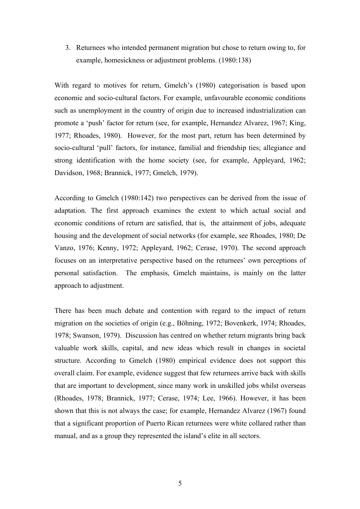3. Returnees who intended permanent migration but chose to return owing to, for example, homesickness or adjustment problems. (1980:138)

With regard to motives for return, Gmelch's (1980) categorisation is based upon economic and socio-cultural factors. For example, unfavourable economic conditions such as unemployment in the country of origin due to increased industrialization can promote a 'push' factor for return (see, for example, Hernandez Alvarez, 1967; King, 1977; Rhoades, 1980). However, for the most part, return has been determined by socio-cultural 'pull' factors, for instance, familial and friendship ties; allegiance and strong identification with the home society (see, for example, Appleyard, 1962; Davidson, 1968; Brannick, 1977; Gmelch, 1979).

According to Gmelch (1980:142) two perspectives can be derived from the issue of adaptation. The first approach examines the extent to which actual social and economic conditions of return are satisfied, that is, the attainment of jobs, adequate housing and the development of social networks (for example, see Rhoades, 1980; De Vanzo, 1976; Kenny, 1972; Appleyard, 1962; Cerase, 1970). The second approach focuses on an interpretative perspective based on the returnees' own perceptions of personal satisfaction. The emphasis, Gmelch maintains, is mainly on the latter approach to adjustment.

There has been much debate and contention with regard to the impact of return migration on the societies of origin (e.g., Böhning, 1972; Bovenkerk, 1974; Rhoades, 1978; Swanson, 1979). Discussion has centred on whether return migrants bring back valuable work skills, capital, and new ideas which result in changes in societal structure. According to Gmelch (1980) empirical evidence does not support this overall claim. For example, evidence suggest that few returnees arrive back with skills that are important to development, since many work in unskilled jobs whilst overseas (Rhoades, 1978; Brannick, 1977; Cerase, 1974; Lee, 1966). However, it has been shown that this is not always the case; for example, Hernandez Alvarez (1967) found that a significant proportion of Puerto Rican returnees were white collared rather than manual, and as a group they represented the island's elite in all sectors.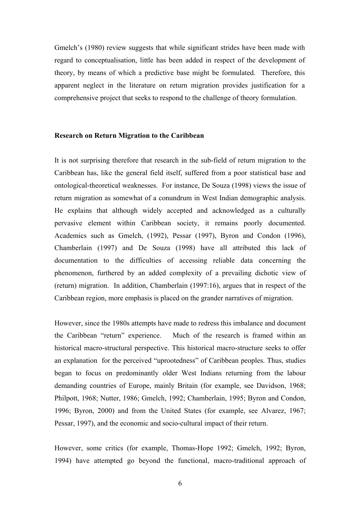Gmelch's (1980) review suggests that while significant strides have been made with regard to conceptualisation, little has been added in respect of the development of theory, by means of which a predictive base might be formulated. Therefore, this apparent neglect in the literature on return migration provides justification for a comprehensive project that seeks to respond to the challenge of theory formulation.

#### **Research on Return Migration to the Caribbean**

It is not surprising therefore that research in the sub-field of return migration to the Caribbean has, like the general field itself, suffered from a poor statistical base and ontological-theoretical weaknesses. For instance, De Souza (1998) views the issue of return migration as somewhat of a conundrum in West Indian demographic analysis. He explains that although widely accepted and acknowledged as a culturally pervasive element within Caribbean society, it remains poorly documented. Academics such as Gmelch, (1992), Pessar (1997), Byron and Condon (1996), Chamberlain (1997) and De Souza (1998) have all attributed this lack of documentation to the difficulties of accessing reliable data concerning the phenomenon, furthered by an added complexity of a prevailing dichotic view of (return) migration. In addition, Chamberlain (1997:16), argues that in respect of the Caribbean region, more emphasis is placed on the grander narratives of migration.

However, since the 1980s attempts have made to redress this imbalance and document the Caribbean "return" experience. Much of the research is framed within an historical macro-structural perspective. This historical macro-structure seeks to offer an explanation for the perceived "uprootedness" of Caribbean peoples. Thus, studies began to focus on predominantly older West Indians returning from the labour demanding countries of Europe, mainly Britain (for example, see Davidson, 1968; Philpott, 1968; Nutter, 1986; Gmelch, 1992; Chamberlain, 1995; Byron and Condon, 1996; Byron, 2000) and from the United States (for example, see Alvarez, 1967; Pessar, 1997), and the economic and socio-cultural impact of their return.

However, some critics (for example, Thomas-Hope 1992; Gmelch, 1992; Byron, 1994) have attempted go beyond the functional, macro-traditional approach of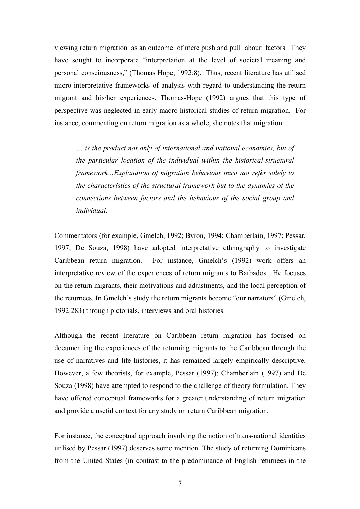viewing return migration as an outcome of mere push and pull labour factors. They have sought to incorporate "interpretation at the level of societal meaning and personal consciousness," (Thomas Hope, 1992:8). Thus, recent literature has utilised micro-interpretative frameworks of analysis with regard to understanding the return migrant and his/her experiences. Thomas-Hope (1992) argues that this type of perspective was neglected in early macro-historical studies of return migration. For instance, commenting on return migration as a whole, she notes that migration:

*… is the product not only of international and national economies, but of the particular location of the individual within the historical-structural framework…Explanation of migration behaviour must not refer solely to the characteristics of the structural framework but to the dynamics of the connections between factors and the behaviour of the social group and individual.* 

Commentators (for example, Gmelch, 1992; Byron, 1994; Chamberlain, 1997; Pessar, 1997; De Souza, 1998) have adopted interpretative ethnography to investigate Caribbean return migration. For instance, Gmelch's (1992) work offers an interpretative review of the experiences of return migrants to Barbados. He focuses on the return migrants, their motivations and adjustments, and the local perception of the returnees. In Gmelch's study the return migrants become "our narrators" (Gmelch, 1992:283) through pictorials, interviews and oral histories.

Although the recent literature on Caribbean return migration has focused on documenting the experiences of the returning migrants to the Caribbean through the use of narratives and life histories, it has remained largely empirically descriptive. However, a few theorists, for example, Pessar (1997); Chamberlain (1997) and De Souza (1998) have attempted to respond to the challenge of theory formulation. They have offered conceptual frameworks for a greater understanding of return migration and provide a useful context for any study on return Caribbean migration.

For instance, the conceptual approach involving the notion of trans-national identities utilised by Pessar (1997) deserves some mention. The study of returning Dominicans from the United States (in contrast to the predominance of English returnees in the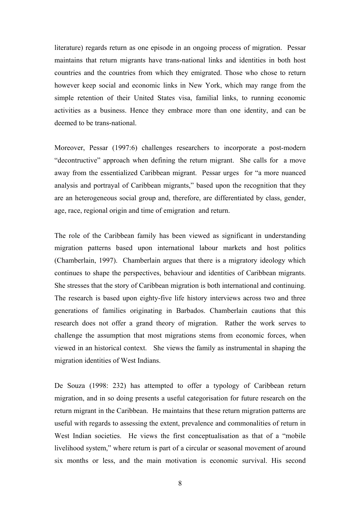literature) regards return as one episode in an ongoing process of migration. Pessar maintains that return migrants have trans-national links and identities in both host countries and the countries from which they emigrated. Those who chose to return however keep social and economic links in New York, which may range from the simple retention of their United States visa, familial links, to running economic activities as a business. Hence they embrace more than one identity, and can be deemed to be trans-national.

Moreover, Pessar (1997:6) challenges researchers to incorporate a post-modern "decontructive" approach when defining the return migrant. She calls for a move away from the essentialized Caribbean migrant. Pessar urges for "a more nuanced analysis and portrayal of Caribbean migrants," based upon the recognition that they are an heterogeneous social group and, therefore, are differentiated by class, gender, age, race, regional origin and time of emigration and return.

The role of the Caribbean family has been viewed as significant in understanding migration patterns based upon international labour markets and host politics (Chamberlain, 1997). Chamberlain argues that there is a migratory ideology which continues to shape the perspectives, behaviour and identities of Caribbean migrants. She stresses that the story of Caribbean migration is both international and continuing. The research is based upon eighty-five life history interviews across two and three generations of families originating in Barbados. Chamberlain cautions that this research does not offer a grand theory of migration. Rather the work serves to challenge the assumption that most migrations stems from economic forces, when viewed in an historical context. She views the family as instrumental in shaping the migration identities of West Indians.

De Souza (1998: 232) has attempted to offer a typology of Caribbean return migration, and in so doing presents a useful categorisation for future research on the return migrant in the Caribbean. He maintains that these return migration patterns are useful with regards to assessing the extent, prevalence and commonalities of return in West Indian societies. He views the first conceptualisation as that of a "mobile" livelihood system," where return is part of a circular or seasonal movement of around six months or less, and the main motivation is economic survival. His second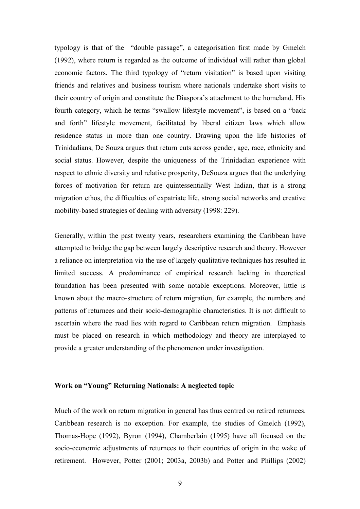typology is that of the "double passage", a categorisation first made by Gmelch (1992), where return is regarded as the outcome of individual will rather than global economic factors. The third typology of "return visitation" is based upon visiting friends and relatives and business tourism where nationals undertake short visits to their country of origin and constitute the Diaspora's attachment to the homeland. His fourth category, which he terms "swallow lifestyle movement", is based on a "back and forth" lifestyle movement, facilitated by liberal citizen laws which allow residence status in more than one country. Drawing upon the life histories of Trinidadians, De Souza argues that return cuts across gender, age, race, ethnicity and social status. However, despite the uniqueness of the Trinidadian experience with respect to ethnic diversity and relative prosperity, DeSouza argues that the underlying forces of motivation for return are quintessentially West Indian, that is a strong migration ethos, the difficulties of expatriate life, strong social networks and creative mobility-based strategies of dealing with adversity (1998: 229).

Generally, within the past twenty years, researchers examining the Caribbean have attempted to bridge the gap between largely descriptive research and theory. However a reliance on interpretation via the use of largely qualitative techniques has resulted in limited success. A predominance of empirical research lacking in theoretical foundation has been presented with some notable exceptions. Moreover, little is known about the macro-structure of return migration, for example, the numbers and patterns of returnees and their socio-demographic characteristics. It is not difficult to ascertain where the road lies with regard to Caribbean return migration. Emphasis must be placed on research in which methodology and theory are interplayed to provide a greater understanding of the phenomenon under investigation.

## **Work on "Young" Returning Nationals: A neglected topi**c

Much of the work on return migration in general has thus centred on retired returnees. Caribbean research is no exception. For example, the studies of Gmelch (1992), Thomas-Hope (1992), Byron (1994), Chamberlain (1995) have all focused on the socio-economic adjustments of returnees to their countries of origin in the wake of retirement. However, Potter (2001; 2003a, 2003b) and Potter and Phillips (2002)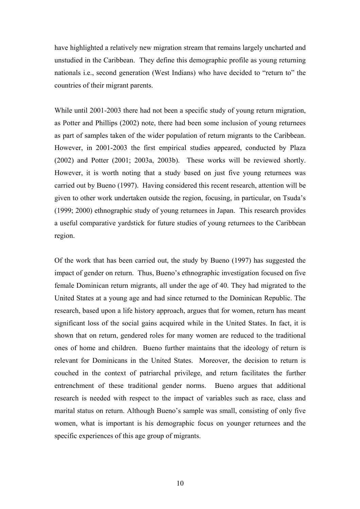have highlighted a relatively new migration stream that remains largely uncharted and unstudied in the Caribbean. They define this demographic profile as young returning nationals i.e., second generation (West Indians) who have decided to "return to" the countries of their migrant parents.

While until 2001-2003 there had not been a specific study of young return migration, as Potter and Phillips (2002) note, there had been some inclusion of young returnees as part of samples taken of the wider population of return migrants to the Caribbean. However, in 2001-2003 the first empirical studies appeared, conducted by Plaza (2002) and Potter (2001; 2003a, 2003b). These works will be reviewed shortly. However, it is worth noting that a study based on just five young returnees was carried out by Bueno (1997). Having considered this recent research, attention will be given to other work undertaken outside the region, focusing, in particular, on Tsuda's (1999; 2000) ethnographic study of young returnees in Japan. This research provides a useful comparative yardstick for future studies of young returnees to the Caribbean region.

Of the work that has been carried out, the study by Bueno (1997) has suggested the impact of gender on return. Thus, Bueno's ethnographic investigation focused on five female Dominican return migrants, all under the age of 40. They had migrated to the United States at a young age and had since returned to the Dominican Republic. The research, based upon a life history approach, argues that for women, return has meant significant loss of the social gains acquired while in the United States. In fact, it is shown that on return, gendered roles for many women are reduced to the traditional ones of home and children. Bueno further maintains that the ideology of return is relevant for Dominicans in the United States. Moreover, the decision to return is couched in the context of patriarchal privilege, and return facilitates the further entrenchment of these traditional gender norms. Bueno argues that additional research is needed with respect to the impact of variables such as race, class and marital status on return. Although Bueno's sample was small, consisting of only five women, what is important is his demographic focus on younger returnees and the specific experiences of this age group of migrants.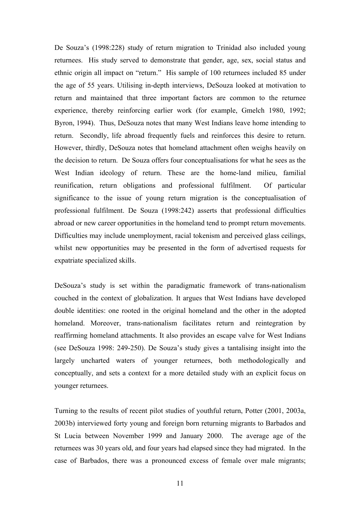De Souza's (1998:228) study of return migration to Trinidad also included young returnees. His study served to demonstrate that gender, age, sex, social status and ethnic origin all impact on "return." His sample of 100 returnees included 85 under the age of 55 years. Utilising in-depth interviews, DeSouza looked at motivation to return and maintained that three important factors are common to the returnee experience, thereby reinforcing earlier work (for example, Gmelch 1980, 1992; Byron, 1994). Thus, DeSouza notes that many West Indians leave home intending to return. Secondly, life abroad frequently fuels and reinforces this desire to return. However, thirdly, DeSouza notes that homeland attachment often weighs heavily on the decision to return. De Souza offers four conceptualisations for what he sees as the West Indian ideology of return. These are the home-land milieu, familial reunification, return obligations and professional fulfilment. Of particular significance to the issue of young return migration is the conceptualisation of professional fulfilment. De Souza (1998:242) asserts that professional difficulties abroad or new career opportunities in the homeland tend to prompt return movements. Difficulties may include unemployment, racial tokenism and perceived glass ceilings, whilst new opportunities may be presented in the form of advertised requests for expatriate specialized skills.

DeSouza's study is set within the paradigmatic framework of trans-nationalism couched in the context of globalization. It argues that West Indians have developed double identities: one rooted in the original homeland and the other in the adopted homeland. Moreover, trans-nationalism facilitates return and reintegration by reaffirming homeland attachments. It also provides an escape valve for West Indians (see DeSouza 1998: 249-250). De Souza's study gives a tantalising insight into the largely uncharted waters of younger returnees, both methodologically and conceptually, and sets a context for a more detailed study with an explicit focus on younger returnees.

Turning to the results of recent pilot studies of youthful return, Potter (2001, 2003a, 2003b) interviewed forty young and foreign born returning migrants to Barbados and St Lucia between November 1999 and January 2000. The average age of the returnees was 30 years old, and four years had elapsed since they had migrated. In the case of Barbados, there was a pronounced excess of female over male migrants;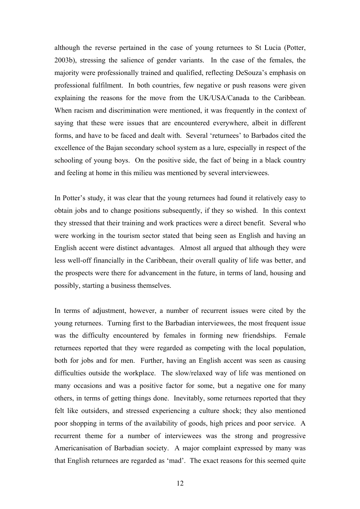although the reverse pertained in the case of young returnees to St Lucia (Potter, 2003b), stressing the salience of gender variants. In the case of the females, the majority were professionally trained and qualified, reflecting DeSouza's emphasis on professional fulfilment. In both countries, few negative or push reasons were given explaining the reasons for the move from the UK/USA/Canada to the Caribbean. When racism and discrimination were mentioned, it was frequently in the context of saying that these were issues that are encountered everywhere, albeit in different forms, and have to be faced and dealt with. Several 'returnees' to Barbados cited the excellence of the Bajan secondary school system as a lure, especially in respect of the schooling of young boys. On the positive side, the fact of being in a black country and feeling at home in this milieu was mentioned by several interviewees.

In Potter's study, it was clear that the young returnees had found it relatively easy to obtain jobs and to change positions subsequently, if they so wished. In this context they stressed that their training and work practices were a direct benefit. Several who were working in the tourism sector stated that being seen as English and having an English accent were distinct advantages. Almost all argued that although they were less well-off financially in the Caribbean, their overall quality of life was better, and the prospects were there for advancement in the future, in terms of land, housing and possibly, starting a business themselves.

In terms of adjustment, however, a number of recurrent issues were cited by the young returnees. Turning first to the Barbadian interviewees, the most frequent issue was the difficulty encountered by females in forming new friendships. Female returnees reported that they were regarded as competing with the local population, both for jobs and for men. Further, having an English accent was seen as causing difficulties outside the workplace. The slow/relaxed way of life was mentioned on many occasions and was a positive factor for some, but a negative one for many others, in terms of getting things done. Inevitably, some returnees reported that they felt like outsiders, and stressed experiencing a culture shock; they also mentioned poor shopping in terms of the availability of goods, high prices and poor service. A recurrent theme for a number of interviewees was the strong and progressive Americanisation of Barbadian society. A major complaint expressed by many was that English returnees are regarded as 'mad'. The exact reasons for this seemed quite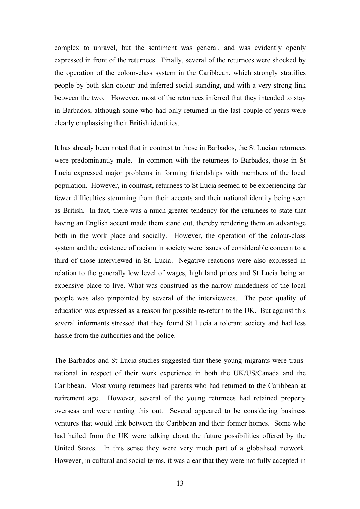complex to unravel, but the sentiment was general, and was evidently openly expressed in front of the returnees. Finally, several of the returnees were shocked by the operation of the colour-class system in the Caribbean, which strongly stratifies people by both skin colour and inferred social standing, and with a very strong link between the two. However, most of the returnees inferred that they intended to stay in Barbados, although some who had only returned in the last couple of years were clearly emphasising their British identities.

It has already been noted that in contrast to those in Barbados, the St Lucian returnees were predominantly male. In common with the returnees to Barbados, those in St Lucia expressed major problems in forming friendships with members of the local population. However, in contrast, returnees to St Lucia seemed to be experiencing far fewer difficulties stemming from their accents and their national identity being seen as British. In fact, there was a much greater tendency for the returnees to state that having an English accent made them stand out, thereby rendering them an advantage both in the work place and socially. However, the operation of the colour-class system and the existence of racism in society were issues of considerable concern to a third of those interviewed in St. Lucia. Negative reactions were also expressed in relation to the generally low level of wages, high land prices and St Lucia being an expensive place to live. What was construed as the narrow-mindedness of the local people was also pinpointed by several of the interviewees. The poor quality of education was expressed as a reason for possible re-return to the UK. But against this several informants stressed that they found St Lucia a tolerant society and had less hassle from the authorities and the police.

The Barbados and St Lucia studies suggested that these young migrants were transnational in respect of their work experience in both the UK/US/Canada and the Caribbean. Most young returnees had parents who had returned to the Caribbean at retirement age. However, several of the young returnees had retained property overseas and were renting this out. Several appeared to be considering business ventures that would link between the Caribbean and their former homes. Some who had hailed from the UK were talking about the future possibilities offered by the United States. In this sense they were very much part of a globalised network. However, in cultural and social terms, it was clear that they were not fully accepted in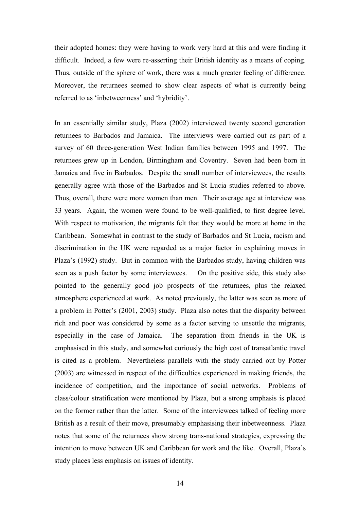their adopted homes: they were having to work very hard at this and were finding it difficult. Indeed, a few were re-asserting their British identity as a means of coping. Thus, outside of the sphere of work, there was a much greater feeling of difference. Moreover, the returnees seemed to show clear aspects of what is currently being referred to as 'inbetweenness' and 'hybridity'.

In an essentially similar study, Plaza (2002) interviewed twenty second generation returnees to Barbados and Jamaica. The interviews were carried out as part of a survey of 60 three-generation West Indian families between 1995 and 1997. The returnees grew up in London, Birmingham and Coventry. Seven had been born in Jamaica and five in Barbados. Despite the small number of interviewees, the results generally agree with those of the Barbados and St Lucia studies referred to above. Thus, overall, there were more women than men. Their average age at interview was 33 years. Again, the women were found to be well-qualified, to first degree level. With respect to motivation, the migrants felt that they would be more at home in the Caribbean. Somewhat in contrast to the study of Barbados and St Lucia, racism and discrimination in the UK were regarded as a major factor in explaining moves in Plaza's (1992) study. But in common with the Barbados study, having children was seen as a push factor by some interviewees. On the positive side, this study also pointed to the generally good job prospects of the returnees, plus the relaxed atmosphere experienced at work. As noted previously, the latter was seen as more of a problem in Potter's (2001, 2003) study. Plaza also notes that the disparity between rich and poor was considered by some as a factor serving to unsettle the migrants, especially in the case of Jamaica. The separation from friends in the UK is emphasised in this study, and somewhat curiously the high cost of transatlantic travel is cited as a problem. Nevertheless parallels with the study carried out by Potter (2003) are witnessed in respect of the difficulties experienced in making friends, the incidence of competition, and the importance of social networks. Problems of class/colour stratification were mentioned by Plaza, but a strong emphasis is placed on the former rather than the latter. Some of the interviewees talked of feeling more British as a result of their move, presumably emphasising their inbetweenness. Plaza notes that some of the returnees show strong trans-national strategies, expressing the intention to move between UK and Caribbean for work and the like. Overall, Plaza's study places less emphasis on issues of identity.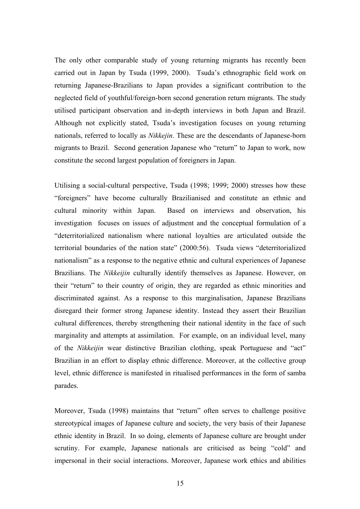The only other comparable study of young returning migrants has recently been carried out in Japan by Tsuda (1999, 2000). Tsuda's ethnographic field work on returning Japanese-Brazilians to Japan provides a significant contribution to the neglected field of youthful/foreign-born second generation return migrants. The study utilised participant observation and in-depth interviews in both Japan and Brazil. Although not explicitly stated, Tsuda's investigation focuses on young returning nationals, referred to locally as *Nikkejin*. These are the descendants of Japanese-born migrants to Brazil. Second generation Japanese who "return" to Japan to work, now constitute the second largest population of foreigners in Japan.

Utilising a social-cultural perspective, Tsuda (1998; 1999; 2000) stresses how these "foreigners" have become culturally Brazilianised and constitute an ethnic and cultural minority within Japan. Based on interviews and observation, his investigation focuses on issues of adjustment and the conceptual formulation of a "deterritorialized nationalism where national loyalties are articulated outside the territorial boundaries of the nation state" (2000:56). Tsuda views "deterritorialized nationalism" as a response to the negative ethnic and cultural experiences of Japanese Brazilians. The *Nikkeijin* culturally identify themselves as Japanese. However, on their "return" to their country of origin, they are regarded as ethnic minorities and discriminated against. As a response to this marginalisation, Japanese Brazilians disregard their former strong Japanese identity. Instead they assert their Brazilian cultural differences, thereby strengthening their national identity in the face of such marginality and attempts at assimilation. For example, on an individual level, many of the *Nikkeijin* wear distinctive Brazilian clothing, speak Portuguese and "act" Brazilian in an effort to display ethnic difference. Moreover, at the collective group level, ethnic difference is manifested in ritualised performances in the form of samba parades.

Moreover, Tsuda (1998) maintains that "return" often serves to challenge positive stereotypical images of Japanese culture and society, the very basis of their Japanese ethnic identity in Brazil. In so doing, elements of Japanese culture are brought under scrutiny. For example, Japanese nationals are criticised as being "cold" and impersonal in their social interactions. Moreover, Japanese work ethics and abilities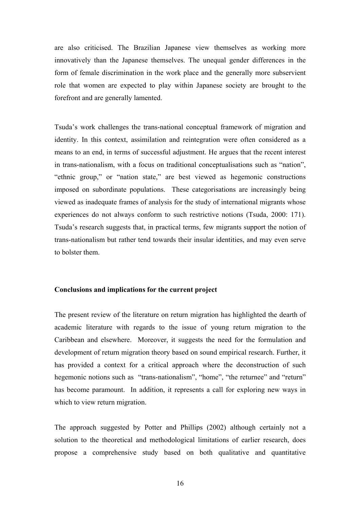are also criticised. The Brazilian Japanese view themselves as working more innovatively than the Japanese themselves. The unequal gender differences in the form of female discrimination in the work place and the generally more subservient role that women are expected to play within Japanese society are brought to the forefront and are generally lamented.

Tsuda's work challenges the trans-national conceptual framework of migration and identity. In this context, assimilation and reintegration were often considered as a means to an end, in terms of successful adjustment. He argues that the recent interest in trans-nationalism, with a focus on traditional conceptualisations such as "nation", "ethnic group," or "nation state," are best viewed as hegemonic constructions imposed on subordinate populations. These categorisations are increasingly being viewed as inadequate frames of analysis for the study of international migrants whose experiences do not always conform to such restrictive notions (Tsuda, 2000: 171). Tsuda's research suggests that, in practical terms, few migrants support the notion of trans-nationalism but rather tend towards their insular identities, and may even serve to bolster them.

## **Conclusions and implications for the current project**

The present review of the literature on return migration has highlighted the dearth of academic literature with regards to the issue of young return migration to the Caribbean and elsewhere. Moreover, it suggests the need for the formulation and development of return migration theory based on sound empirical research. Further, it has provided a context for a critical approach where the deconstruction of such hegemonic notions such as "trans-nationalism", "home", "the returnee" and "return" has become paramount. In addition, it represents a call for exploring new ways in which to view return migration.

The approach suggested by Potter and Phillips (2002) although certainly not a solution to the theoretical and methodological limitations of earlier research, does propose a comprehensive study based on both qualitative and quantitative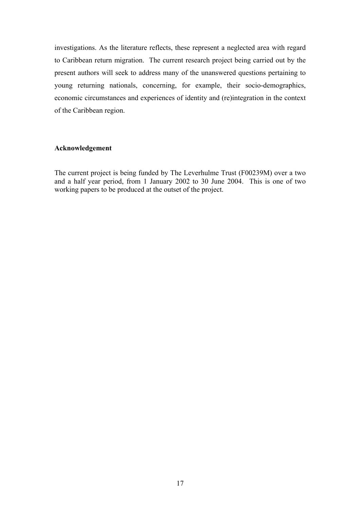investigations. As the literature reflects, these represent a neglected area with regard to Caribbean return migration. The current research project being carried out by the present authors will seek to address many of the unanswered questions pertaining to young returning nationals, concerning, for example, their socio-demographics, economic circumstances and experiences of identity and (re)integration in the context of the Caribbean region.

# **Acknowledgement**

The current project is being funded by The Leverhulme Trust (F00239M) over a two and a half year period, from 1 January 2002 to 30 June 2004. This is one of two working papers to be produced at the outset of the project.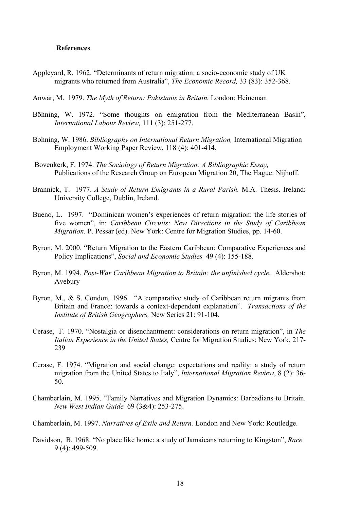### **References**

- Appleyard, R. 1962. "Determinants of return migration: a socio-economic study of UK migrants who returned from Australia", *The Economic Record,* 33 (83): 352-368.
- Anwar, M. 1979. *The Myth of Return: Pakistanis in Britain.* London: Heineman
- Böhning, W. 1972. "Some thoughts on emigration from the Mediterranean Basin", *International Labour Review,* 111 (3): 251-277.
- Bohning, W. 1986. *Bibliography on International Return Migration,* International Migration Employment Working Paper Review, 118 (4): 401-414.
- Bovenkerk, F. 1974. *The Sociology of Return Migration: A Bibliographic Essay,* Publications of the Research Group on European Migration 20, The Hague: Nijhoff.
- Brannick, T. 1977. *A Study of Return Emigrants in a Rural Parish.* M.A. Thesis. Ireland: University College, Dublin, Ireland.
- Bueno, L. 1997. "Dominican women's experiences of return migration: the life stories of five women", in: *Caribbean Circuits: New Directions in the Study of Caribbean Migration.* P. Pessar (ed). New York: Centre for Migration Studies, pp. 14-60.
- Byron, M. 2000. "Return Migration to the Eastern Caribbean: Comparative Experiences and Policy Implications", *Social and Economic Studies* 49 (4): 155-188.
- Byron, M. 1994. *Post-War Caribbean Migration to Britain: the unfinished cycle.* Aldershot: Avebury
- Byron, M., & S. Condon, 1996. "A comparative study of Caribbean return migrants from Britain and France: towards a context-dependent explanation". *Transactions of the Institute of British Geographers,* New Series 21: 91-104.
- Cerase, F. 1970. "Nostalgia or disenchantment: considerations on return migration", in *The Italian Experience in the United States,* Centre for Migration Studies: New York, 217- 239
- Cerase, F. 1974. "Migration and social change: expectations and reality: a study of return migration from the United States to Italy", *International Migration Review*, 8 (2): 36- 50.
- Chamberlain, M. 1995. "Family Narratives and Migration Dynamics: Barbadians to Britain. *New West Indian Guide* 69 (3&4): 253-275.
- Chamberlain, M. 1997. *Narratives of Exile and Return.* London and New York: Routledge.
- Davidson, B. 1968. "No place like home: a study of Jamaicans returning to Kingston", *Race*  9 (4): 499-509.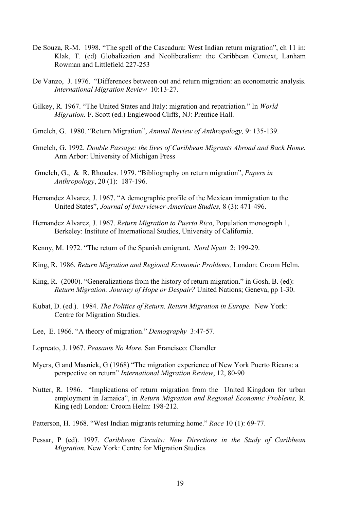- De Souza, R-M. 1998. "The spell of the Cascadura: West Indian return migration", ch 11 in: Klak, T. (ed) Globalization and Neoliberalism: the Caribbean Context, Lanham Rowman and Littlefield 227-253
- De Vanzo, J. 1976. "Differences between out and return migration: an econometric analysis. *International Migration Review* 10:13-27.
- Gilkey, R. 1967. "The United States and Italy: migration and repatriation." In *World Migration.* F. Scott (ed.) Englewood Cliffs, NJ: Prentice Hall.
- Gmelch, G. 1980. "Return Migration", *Annual Review of Anthropology,* 9: 135-139.
- Gmelch, G. 1992. *Double Passage: the lives of Caribbean Migrants Abroad and Back Home.* Ann Arbor: University of Michigan Press
- Gmelch, G., & R. Rhoades. 1979. "Bibliography on return migration", *Papers in Anthropology*, 20 (1): 187-196.
- Hernandez Alvarez, J. 1967. "A demographic profile of the Mexican immigration to the United States", *Journal of Interviewer-American Studies,* 8 (3): 471-496.
- Hernandez Alvarez, J. 1967. *Return Migration to Puerto Rico*, Population monograph 1, Berkeley: Institute of International Studies, University of California.
- Kenny, M. 1972. "The return of the Spanish emigrant. *Nord Nyatt* 2: 199-29.
- King, R. 1986. *Return Migration and Regional Economic Problems,* London: Croom Helm.
- King, R. (2000). "Generalizations from the history of return migration." in Gosh, B. (ed): *Return Migration: Journey of Hope or Despair?* United Nations; Geneva, pp 1-30.
- Kubat, D. (ed.). 1984. *The Politics of Return. Return Migration in Europe.* New York: Centre for Migration Studies.
- Lee, E. 1966. "A theory of migration." *Demography* 3:47-57.
- Lopreato, J. 1967. *Peasants No More.* San Francisco: Chandler
- Myers, G and Masnick, G (1968) "The migration experience of New York Puerto Ricans: a perspective on return" *International Migration Review*, 12, 80-90
- Nutter, R. 1986. "Implications of return migration from the United Kingdom for urban employment in Jamaica", in *Return Migration and Regional Economic Problems,* R. King (ed) London: Croom Helm: 198-212.
- Patterson, H. 1968. "West Indian migrants returning home." *Race* 10 (1): 69-77.
- Pessar, P (ed). 1997. *Caribbean Circuits: New Directions in the Study of Caribbean Migration.* New York: Centre for Migration Studies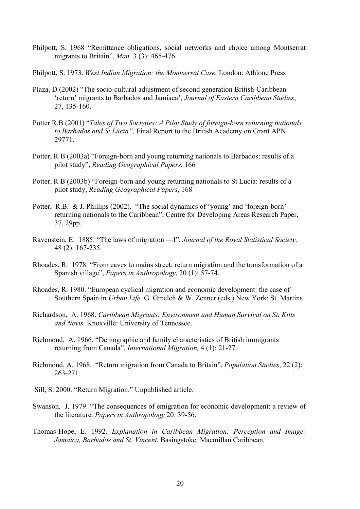- Philpott, S. 1968 "Remittance obligations, social networks and choice among Montserrat migrants to Britain", *Man* 3 (3): 465-476.
- Philpott, S. 1973. *West Indian Migration: the Montserrat Case.* London: Athlone Press
- Plaza, D (2002) "The socio-cultural adjustment of second generation British-Caribbean 'return' migrants to Barbados and Jamiaca', *Journal of Eastern Caribbean Studies*, 27, 135-160.
- Potter R.B (2001) "*Tales of Two Societies: A Pilot Study of foreign-born returning nationals to Barbados and St Lucia",* Final Report to the British Academy on Grant APN 29771.
- Potter, R B (2003a) "Foreign-born and young returning nationals to Barbados: results of a pilot study", *Reading Geographical Papers*, 166
- Potter, R B (2003b) "Foreign-born and young returning nationals to St Lucia: results of a pilot study, *Reading Geographical Papers*, 168
- Potter, R.B. & J. Phillips (2002). "The social dynamics of 'young' and 'foreign-born' returning nationals to the Caribbean", Centre for Developing Areas Research Paper, 37, 29pp.
- Ravenstein, E. 1885. "The laws of migration —I", *Journal of the Royal Statistical Society,*  48 (2): 167-235.
- Rhoades, R. 1978. "From caves to mains street: return migration and the transformation of a Spanish village", *Papers in Anthropology,* 20 (1): 57-74.
- Rhoades, R. 1980. "European cyclical migration and economic development: the case of Southern Spain in *Urban Life.* G. Gmelch & W. Zenner (eds.) New York: St. Martins
- Richardson, A. 1968. *Caribbean Migrants: Environment and Human Survival on St. Kitts and Nevis.* Knoxville: University of Tennessee.
- Richmond, A. 1966. "Demographic and family characteristics of British immigrants returning from Canada", *International Migration,* 4 (1): 21-27.
- Richmond, A. 1968. "Return migration from Canada to Britain", *Population Studies*, 22 (2): 263-271.
- Sill, S. 2000. "Return Migration." Unpublished article.
- Swanson, J. 1979. "The consequences of emigration for economic development: a review of the literature. *Papers in Anthropology* 20: 39-56.
- Thomas-Hope, E. 1992. *Explanation in Caribbean Migration: Perception and Image: Jamaica, Barbados and St. Vincent.* Basingstoke: Macmillan Caribbean.